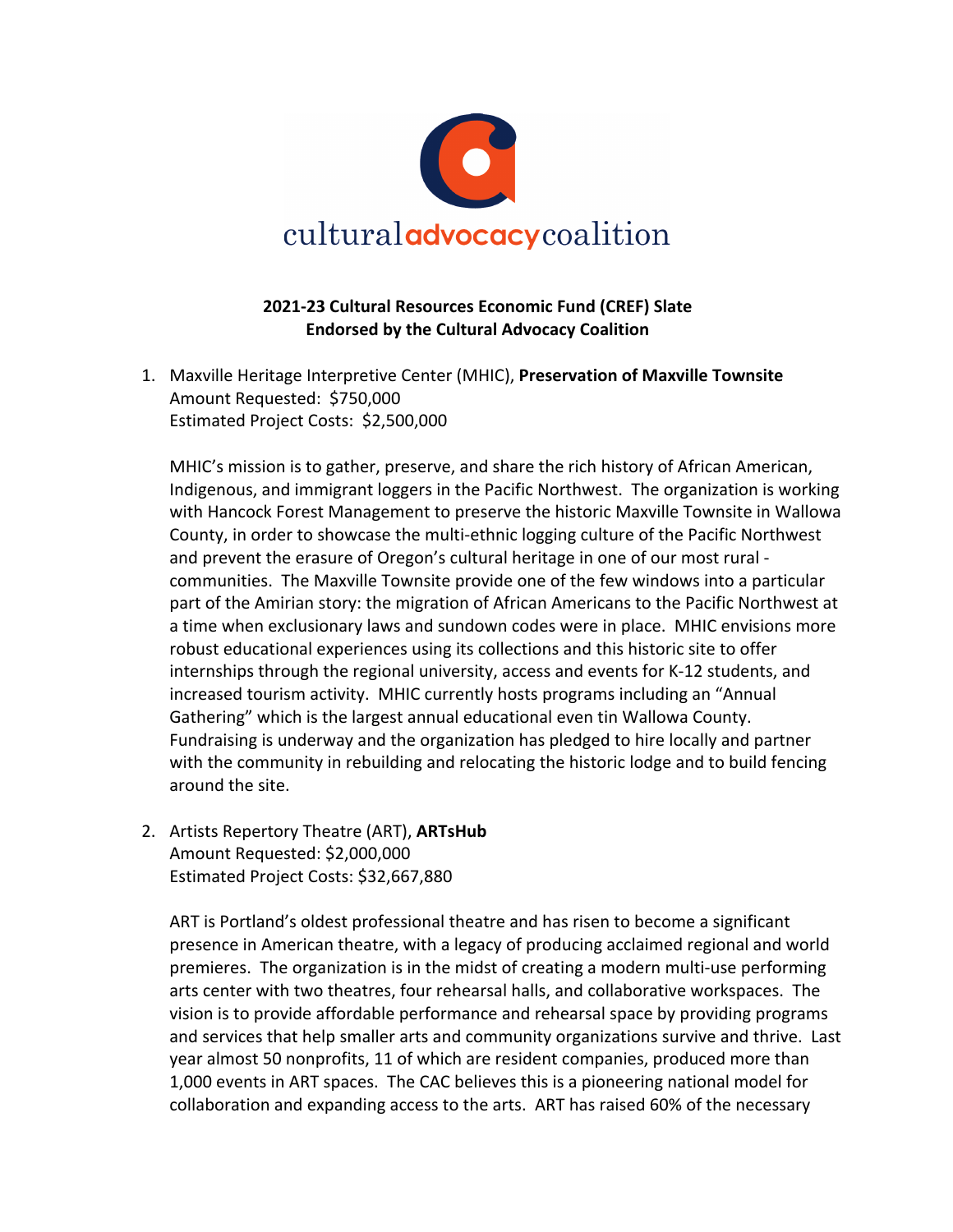

## **2021-23 Cultural Resources Economic Fund (CREF) Slate Endorsed by the Cultural Advocacy Coalition**

1. Maxville Heritage Interpretive Center (MHIC), **Preservation of Maxville Townsite** Amount Requested: \$750,000 Estimated Project Costs: \$2,500,000

MHIC's mission is to gather, preserve, and share the rich history of African American, Indigenous, and immigrant loggers in the Pacific Northwest. The organization is working with Hancock Forest Management to preserve the historic Maxville Townsite in Wallowa County, in order to showcase the multi-ethnic logging culture of the Pacific Northwest and prevent the erasure of Oregon's cultural heritage in one of our most rural communities. The Maxville Townsite provide one of the few windows into a particular part of the Amirian story: the migration of African Americans to the Pacific Northwest at a time when exclusionary laws and sundown codes were in place. MHIC envisions more robust educational experiences using its collections and this historic site to offer internships through the regional university, access and events for K-12 students, and increased tourism activity. MHIC currently hosts programs including an "Annual Gathering" which is the largest annual educational even tin Wallowa County. Fundraising is underway and the organization has pledged to hire locally and partner with the community in rebuilding and relocating the historic lodge and to build fencing around the site.

2. Artists Repertory Theatre (ART), **ARTsHub** Amount Requested: \$2,000,000 Estimated Project Costs: \$32,667,880

ART is Portland's oldest professional theatre and has risen to become a significant presence in American theatre, with a legacy of producing acclaimed regional and world premieres. The organization is in the midst of creating a modern multi-use performing arts center with two theatres, four rehearsal halls, and collaborative workspaces. The vision is to provide affordable performance and rehearsal space by providing programs and services that help smaller arts and community organizations survive and thrive. Last year almost 50 nonprofits, 11 of which are resident companies, produced more than 1,000 events in ART spaces. The CAC believes this is a pioneering national model for collaboration and expanding access to the arts. ART has raised 60% of the necessary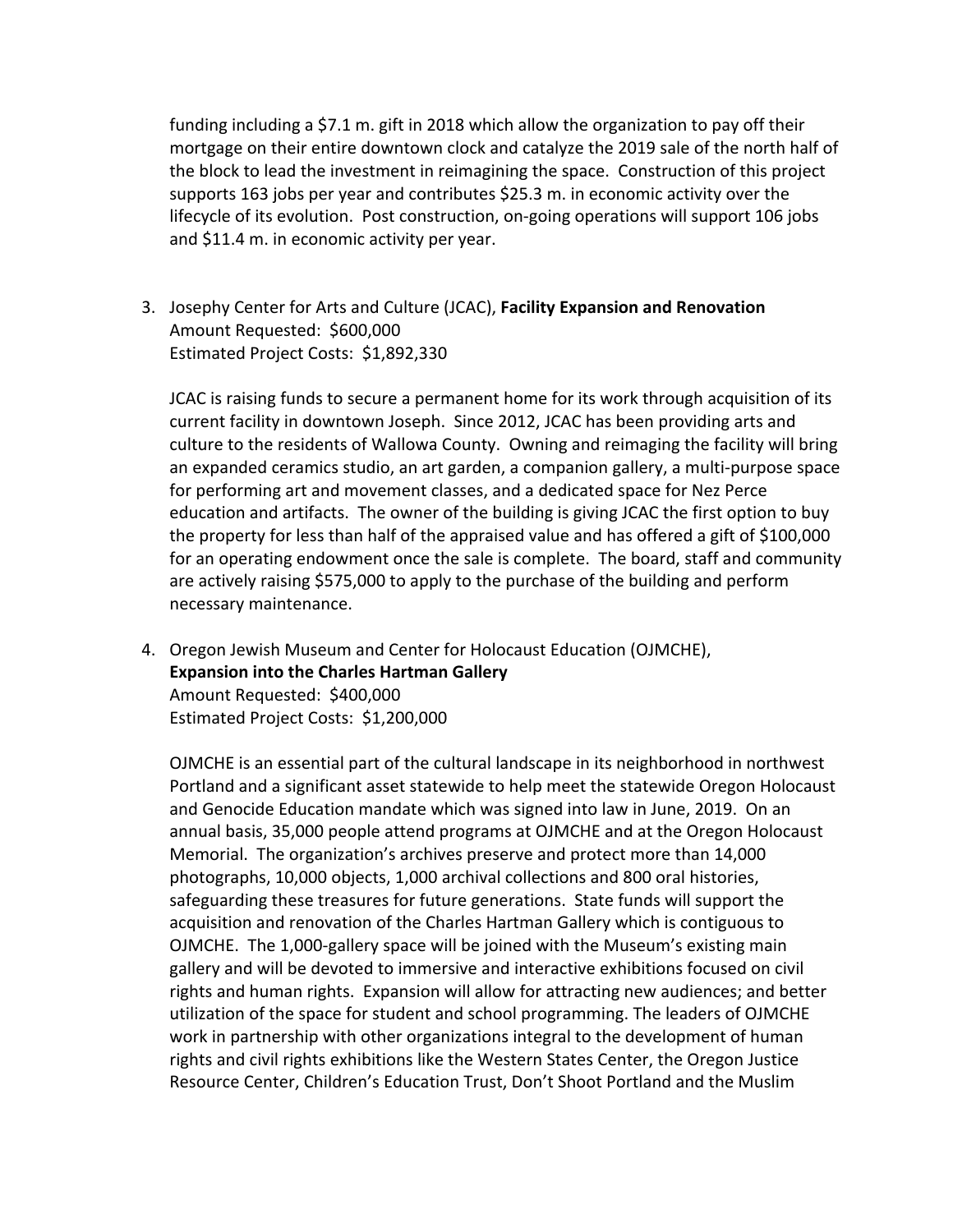funding including a \$7.1 m. gift in 2018 which allow the organization to pay off their mortgage on their entire downtown clock and catalyze the 2019 sale of the north half of the block to lead the investment in reimagining the space. Construction of this project supports 163 jobs per year and contributes \$25.3 m. in economic activity over the lifecycle of its evolution. Post construction, on-going operations will support 106 jobs and \$11.4 m. in economic activity per year.

3. Josephy Center for Arts and Culture (JCAC), **Facility Expansion and Renovation** Amount Requested: \$600,000 Estimated Project Costs: \$1,892,330

JCAC is raising funds to secure a permanent home for its work through acquisition of its current facility in downtown Joseph. Since 2012, JCAC has been providing arts and culture to the residents of Wallowa County. Owning and reimaging the facility will bring an expanded ceramics studio, an art garden, a companion gallery, a multi-purpose space for performing art and movement classes, and a dedicated space for Nez Perce education and artifacts. The owner of the building is giving JCAC the first option to buy the property for less than half of the appraised value and has offered a gift of \$100,000 for an operating endowment once the sale is complete. The board, staff and community are actively raising \$575,000 to apply to the purchase of the building and perform necessary maintenance.

4. Oregon Jewish Museum and Center for Holocaust Education (OJMCHE), **Expansion into the Charles Hartman Gallery** Amount Requested: \$400,000 Estimated Project Costs: \$1,200,000

OJMCHE is an essential part of the cultural landscape in its neighborhood in northwest Portland and a significant asset statewide to help meet the statewide Oregon Holocaust and Genocide Education mandate which was signed into law in June, 2019. On an annual basis, 35,000 people attend programs at OJMCHE and at the Oregon Holocaust Memorial. The organization's archives preserve and protect more than 14,000 photographs, 10,000 objects, 1,000 archival collections and 800 oral histories, safeguarding these treasures for future generations. State funds will support the acquisition and renovation of the Charles Hartman Gallery which is contiguous to OJMCHE. The 1,000-gallery space will be joined with the Museum's existing main gallery and will be devoted to immersive and interactive exhibitions focused on civil rights and human rights. Expansion will allow for attracting new audiences; and better utilization of the space for student and school programming. The leaders of OJMCHE work in partnership with other organizations integral to the development of human rights and civil rights exhibitions like the Western States Center, the Oregon Justice Resource Center, Children's Education Trust, Don't Shoot Portland and the Muslim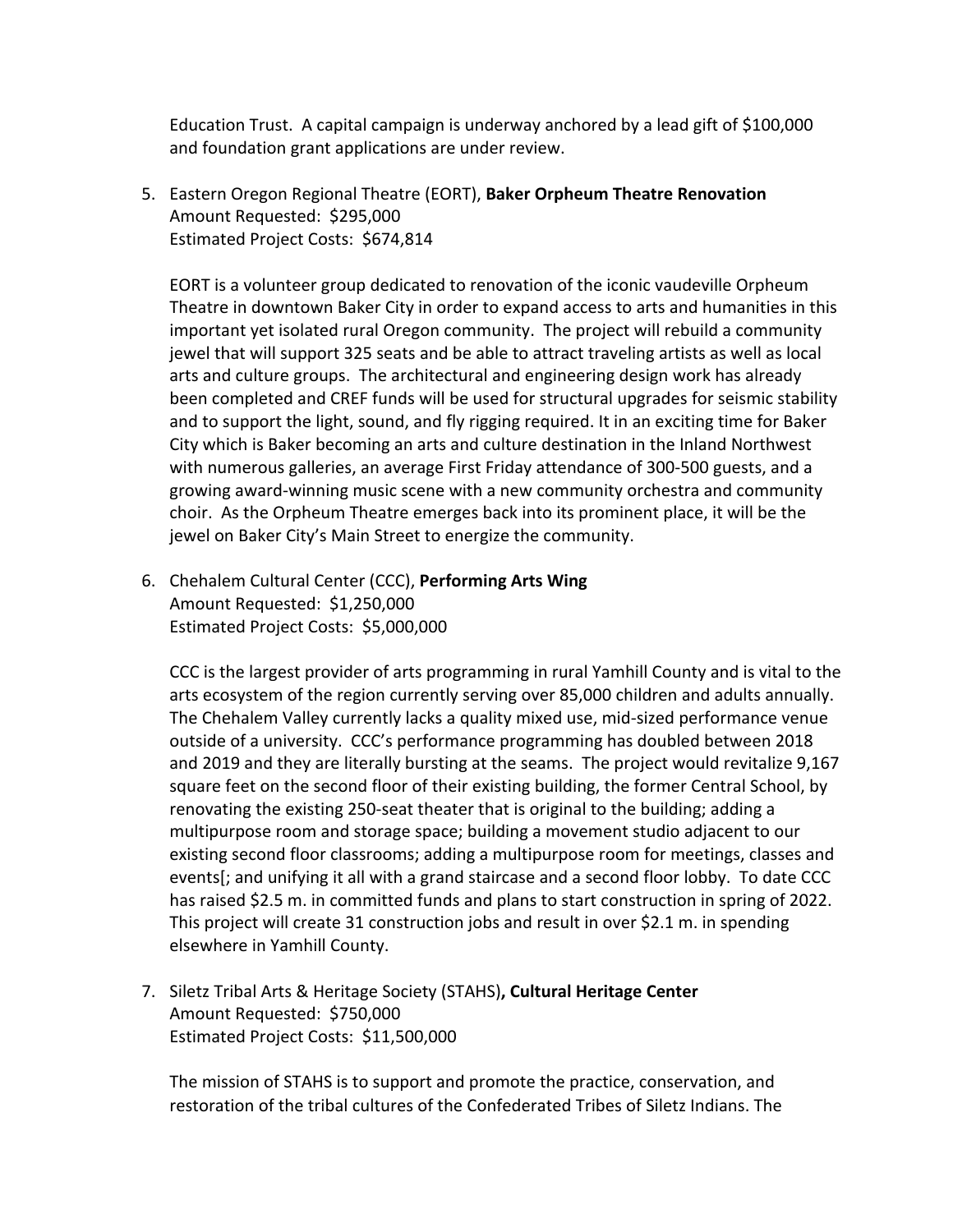Education Trust. A capital campaign is underway anchored by a lead gift of \$100,000 and foundation grant applications are under review.

5. Eastern Oregon Regional Theatre (EORT), **Baker Orpheum Theatre Renovation** Amount Requested: \$295,000 Estimated Project Costs: \$674,814

EORT is a volunteer group dedicated to renovation of the iconic vaudeville Orpheum Theatre in downtown Baker City in order to expand access to arts and humanities in this important yet isolated rural Oregon community. The project will rebuild a community jewel that will support 325 seats and be able to attract traveling artists as well as local arts and culture groups. The architectural and engineering design work has already been completed and CREF funds will be used for structural upgrades for seismic stability and to support the light, sound, and fly rigging required. It in an exciting time for Baker City which is Baker becoming an arts and culture destination in the Inland Northwest with numerous galleries, an average First Friday attendance of 300-500 guests, and a growing award-winning music scene with a new community orchestra and community choir. As the Orpheum Theatre emerges back into its prominent place, it will be the jewel on Baker City's Main Street to energize the community.

6. Chehalem Cultural Center (CCC), **Performing Arts Wing** Amount Requested: \$1,250,000 Estimated Project Costs: \$5,000,000

CCC is the largest provider of arts programming in rural Yamhill County and is vital to the arts ecosystem of the region currently serving over 85,000 children and adults annually. The Chehalem Valley currently lacks a quality mixed use, mid-sized performance venue outside of a university. CCC's performance programming has doubled between 2018 and 2019 and they are literally bursting at the seams. The project would revitalize 9,167 square feet on the second floor of their existing building, the former Central School, by renovating the existing 250-seat theater that is original to the building; adding a multipurpose room and storage space; building a movement studio adjacent to our existing second floor classrooms; adding a multipurpose room for meetings, classes and events[; and unifying it all with a grand staircase and a second floor lobby. To date CCC has raised \$2.5 m. in committed funds and plans to start construction in spring of 2022. This project will create 31 construction jobs and result in over \$2.1 m. in spending elsewhere in Yamhill County.

7. Siletz Tribal Arts & Heritage Society (STAHS)**, Cultural Heritage Center** Amount Requested: \$750,000 Estimated Project Costs: \$11,500,000

The mission of STAHS is to support and promote the practice, conservation, and restoration of the tribal cultures of the Confederated Tribes of Siletz Indians. The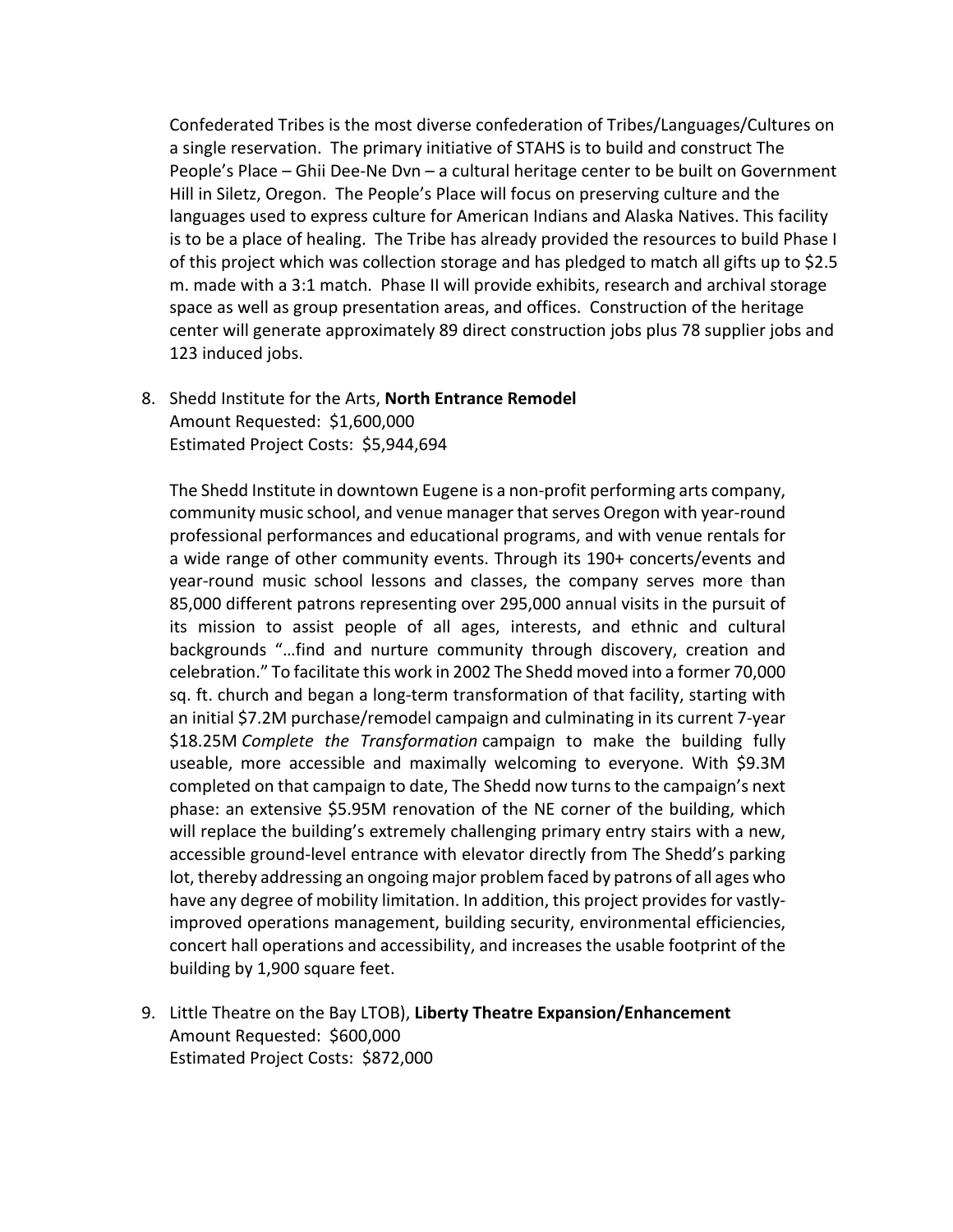Confederated Tribes is the most diverse confederation of Tribes/Languages/Cultures on a single reservation. The primary initiative of STAHS is to build and construct The People's Place – Ghii Dee-Ne Dvn – a cultural heritage center to be built on Government Hill in Siletz, Oregon. The People's Place will focus on preserving culture and the languages used to express culture for American Indians and Alaska Natives. This facility is to be a place of healing. The Tribe has already provided the resources to build Phase I of this project which was collection storage and has pledged to match all gifts up to \$2.5 m. made with a 3:1 match. Phase II will provide exhibits, research and archival storage space as well as group presentation areas, and offices. Construction of the heritage center will generate approximately 89 direct construction jobs plus 78 supplier jobs and 123 induced jobs.

8. Shedd Institute for the Arts, **North Entrance Remodel** Amount Requested: \$1,600,000 Estimated Project Costs: \$5,944,694

The Shedd Institute in downtown Eugene is a non-profit performing arts company, community music school, and venue manager that serves Oregon with year-round professional performances and educational programs, and with venue rentals for a wide range of other community events. Through its 190+ concerts/events and year-round music school lessons and classes, the company serves more than 85,000 different patrons representing over 295,000 annual visits in the pursuit of its mission to assist people of all ages, interests, and ethnic and cultural backgrounds "…find and nurture community through discovery, creation and celebration." To facilitate this work in 2002 The Shedd moved into a former 70,000 sq. ft. church and began a long-term transformation of that facility, starting with an initial \$7.2M purchase/remodel campaign and culminating in its current 7-year \$18.25M *Complete the Transformation* campaign to make the building fully useable, more accessible and maximally welcoming to everyone. With \$9.3M completed on that campaign to date, The Shedd now turns to the campaign's next phase: an extensive \$5.95M renovation of the NE corner of the building, which will replace the building's extremely challenging primary entry stairs with a new, accessible ground-level entrance with elevator directly from The Shedd's parking lot, thereby addressing an ongoing major problem faced by patrons of all ages who have any degree of mobility limitation. In addition, this project provides for vastlyimproved operations management, building security, environmental efficiencies, concert hall operations and accessibility, and increases the usable footprint of the building by 1,900 square feet.

9. Little Theatre on the Bay LTOB), **Liberty Theatre Expansion/Enhancement** Amount Requested: \$600,000 Estimated Project Costs: \$872,000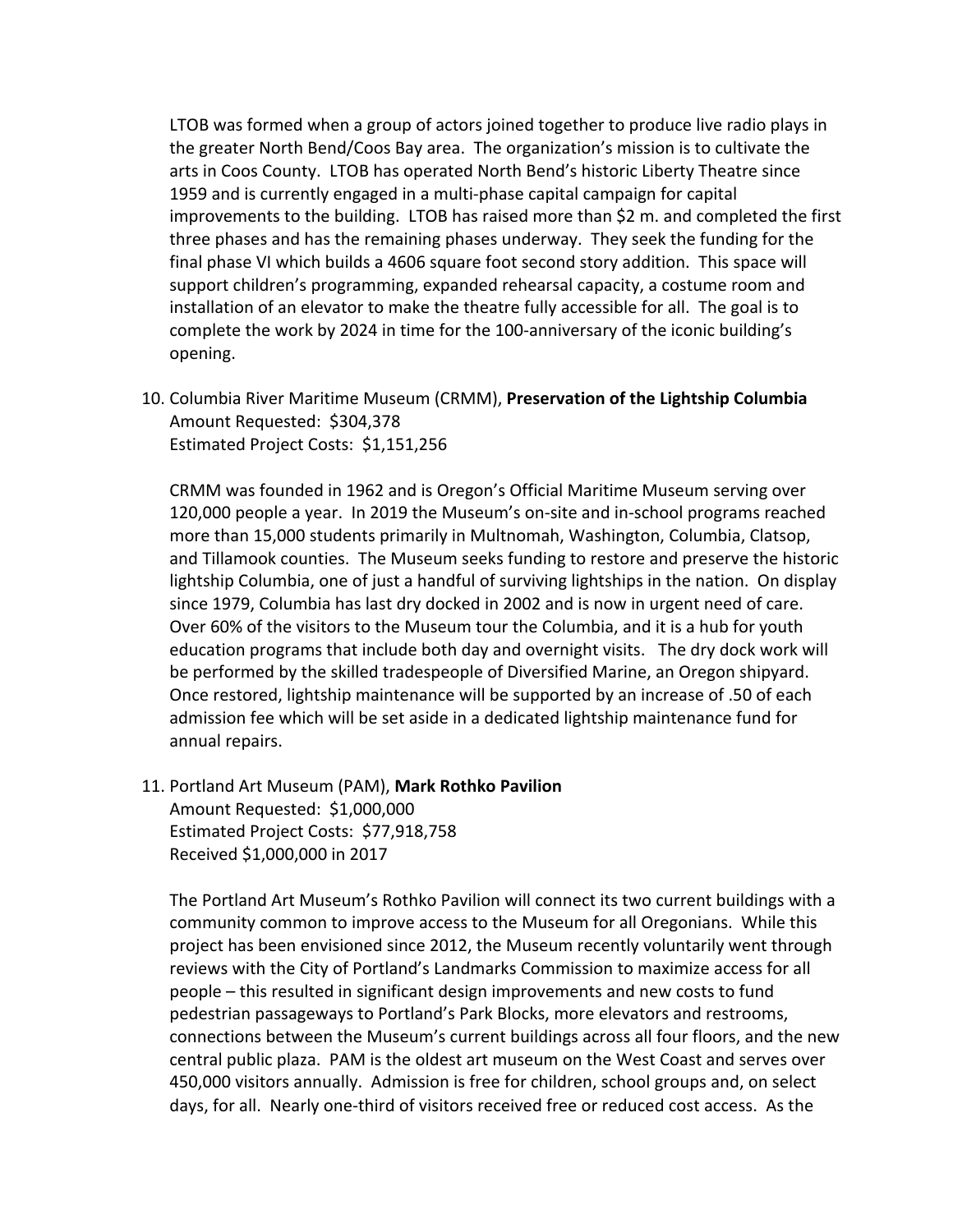LTOB was formed when a group of actors joined together to produce live radio plays in the greater North Bend/Coos Bay area. The organization's mission is to cultivate the arts in Coos County. LTOB has operated North Bend's historic Liberty Theatre since 1959 and is currently engaged in a multi-phase capital campaign for capital improvements to the building. LTOB has raised more than \$2 m. and completed the first three phases and has the remaining phases underway. They seek the funding for the final phase VI which builds a 4606 square foot second story addition. This space will support children's programming, expanded rehearsal capacity, a costume room and installation of an elevator to make the theatre fully accessible for all. The goal is to complete the work by 2024 in time for the 100-anniversary of the iconic building's opening.

10. Columbia River Maritime Museum (CRMM), **Preservation of the Lightship Columbia** Amount Requested: \$304,378 Estimated Project Costs: \$1,151,256

CRMM was founded in 1962 and is Oregon's Official Maritime Museum serving over 120,000 people a year. In 2019 the Museum's on-site and in-school programs reached more than 15,000 students primarily in Multnomah, Washington, Columbia, Clatsop, and Tillamook counties. The Museum seeks funding to restore and preserve the historic lightship Columbia, one of just a handful of surviving lightships in the nation. On display since 1979, Columbia has last dry docked in 2002 and is now in urgent need of care. Over 60% of the visitors to the Museum tour the Columbia, and it is a hub for youth education programs that include both day and overnight visits. The dry dock work will be performed by the skilled tradespeople of Diversified Marine, an Oregon shipyard. Once restored, lightship maintenance will be supported by an increase of .50 of each admission fee which will be set aside in a dedicated lightship maintenance fund for annual repairs.

11. Portland Art Museum (PAM), **Mark Rothko Pavilion** Amount Requested: \$1,000,000 Estimated Project Costs: \$77,918,758 Received \$1,000,000 in 2017

The Portland Art Museum's Rothko Pavilion will connect its two current buildings with a community common to improve access to the Museum for all Oregonians. While this project has been envisioned since 2012, the Museum recently voluntarily went through reviews with the City of Portland's Landmarks Commission to maximize access for all people – this resulted in significant design improvements and new costs to fund pedestrian passageways to Portland's Park Blocks, more elevators and restrooms, connections between the Museum's current buildings across all four floors, and the new central public plaza. PAM is the oldest art museum on the West Coast and serves over 450,000 visitors annually. Admission is free for children, school groups and, on select days, for all. Nearly one-third of visitors received free or reduced cost access. As the